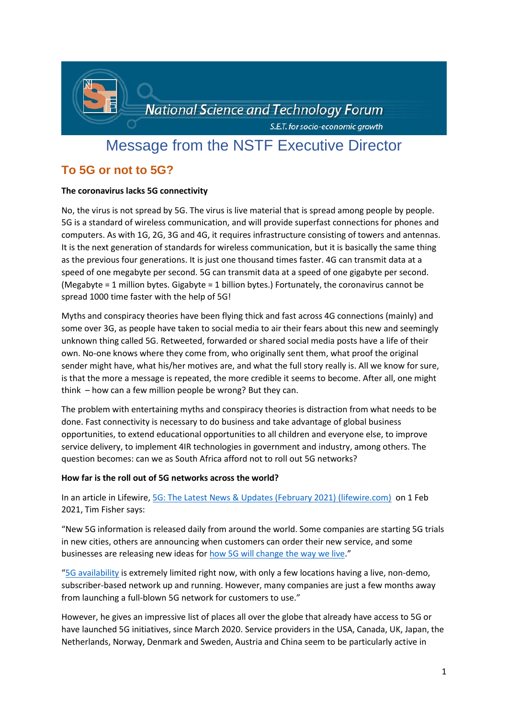

# Message from the NSTF Executive Director

# **To 5G or not to 5G?**

# **The coronavirus lacks 5G connectivity**

No, the virus is not spread by 5G. The virus is live material that is spread among people by people. 5G is a standard of wireless communication, and will provide superfast connections for phones and computers. As with 1G, 2G, 3G and 4G, it requires infrastructure consisting of towers and antennas. It is the next generation of standards for wireless communication, but it is basically the same thing as the previous four generations. It is just one thousand times faster. 4G can transmit data at a speed of one megabyte per second. 5G can transmit data at a speed of one gigabyte per second. (Megabyte = 1 million bytes. Gigabyte = 1 billion bytes.) Fortunately, the coronavirus cannot be spread 1000 time faster with the help of 5G!

Myths and conspiracy theories have been flying thick and fast across 4G connections (mainly) and some over 3G, as people have taken to social media to air their fears about this new and seemingly unknown thing called 5G. Retweeted, forwarded or shared social media posts have a life of their own. No-one knows where they come from, who originally sent them, what proof the original sender might have, what his/her motives are, and what the full story really is. All we know for sure, is that the more a message is repeated, the more credible it seems to become. After all, one might think – how can a few million people be wrong? But they can.

The problem with entertaining myths and conspiracy theories is distraction from what needs to be done. Fast connectivity is necessary to do business and take advantage of global business opportunities, to extend educational opportunities to all children and everyone else, to improve service delivery, to implement 4IR technologies in government and industry, among others. The question becomes: can we as South Africa afford not to roll out 5G networks?

# **How far is the roll out of 5G networks across the world?**

In an article in Lifewire[, 5G: The Latest News & Updates \(February 2021\) \(lifewire.com\)](https://www.lifewire.com/5g-news-4428066) on 1 Feb 2021, Tim Fisher says:

"New 5G information is released daily from around the world. Some companies are starting 5G trials in new cities, others are announcing when customers can order their new service, and some businesses are releasing new ideas for [how 5G will change the way we live.](https://www.lifewire.com/5g-use-cases-4261046)"

"[5G availability](https://www.lifewire.com/5g-availability-world-4156244) is extremely limited right now, with only a few locations having a live, non-demo, subscriber-based network up and running. However, many companies are just a few months away from launching a full-blown 5G network for customers to use."

However, he gives an impressive list of places all over the globe that already have access to 5G or have launched 5G initiatives, since March 2020. Service providers in the USA, Canada, UK, Japan, the Netherlands, Norway, Denmark and Sweden, Austria and China seem to be particularly active in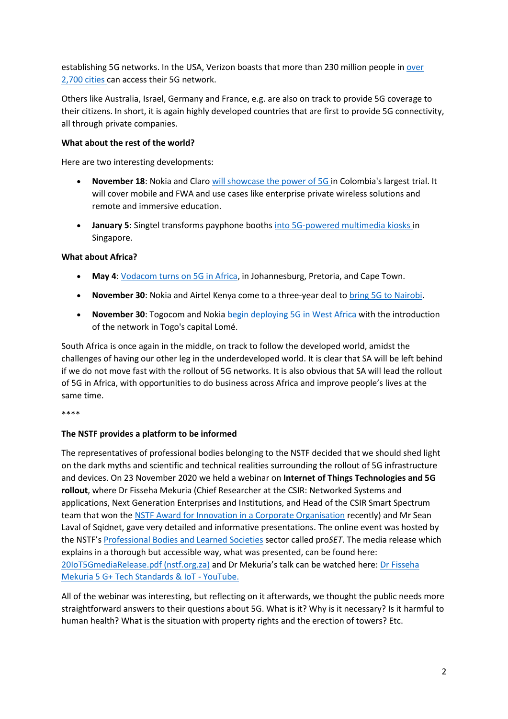establishing 5G networks. In the USA, Verizon boasts that more than 230 million people in [over](https://www.verizon.com/about/news/verizon-extends-5g-coverage)  [2,700 cities](https://www.verizon.com/about/news/verizon-extends-5g-coverage) can access their 5G network.

Others like Australia, Israel, Germany and France, e.g. are also on track to provide 5G coverage to their citizens. In short, it is again highly developed countries that are first to provide 5G connectivity, all through private companies.

#### **What about the rest of the world?**

Here are two interesting developments:

- **November 18**: Nokia and Claro [will showcase the power of 5G](https://www.nokia.com/about-us/news/releases/2020/11/17/nokia-and-claro-showcase-the-power-of-5g-in-colombia/) in Colombia's largest trial. It will cover mobile and FWA and use cases like enterprise private wireless solutions and remote and immersive education.
- **January 5**: Singtel transforms payphone booths [into 5G-powered multimedia kiosks](https://www.singtel.com/about-Us/news-releases/singtel-launches-unboxed-lite-5g-experience-zones-on-orchard-road0) in Singapore.

#### **What about Africa?**

- **May 4**: [Vodacom turns on 5G in Africa,](https://www.vodacom.com/news-article.php?articleID=7485) in Johannesburg, Pretoria, and Cape Town.
- **November 30**: Nokia and Airtel Kenya come to a three-year deal to [bring 5G to Nairobi.](https://www.vanillaplus.com/2020/11/30/56045-nokia-airtel-kenya-lay-5g-foundations-nairobi/)
- **November 30**: Togocom and Nokia [begin deploying 5G in West Africa](http://www.globenewswire.com/news-release/2020/11/30/2136222/0/en/Nokia-and-Togocom-deploy-first-5G-network-in-West-Africa.html) with the introduction of the network in Togo's capital Lomé.

South Africa is once again in the middle, on track to follow the developed world, amidst the challenges of having our other leg in the underdeveloped world. It is clear that SA will be left behind if we do not move fast with the rollout of 5G networks. It is also obvious that SA will lead the rollout of 5G in Africa, with opportunities to do business across Africa and improve people's lives at the same time.

\*\*\*\*

# **The NSTF provides a platform to be informed**

The representatives of professional bodies belonging to the NSTF decided that we should shed light on the dark myths and scientific and technical realities surrounding the rollout of 5G infrastructure and devices. On 23 November 2020 we held a webinar on **Internet of Things Technologies and 5G rollout**, where Dr Fisseha Mekuria (Chief Researcher at the CSIR: Networked Systems and applications, Next Generation Enterprises and Institutions, and Head of the CSIR Smart Spectrum team that won the [NSTF Award for Innovation in a Corporate Organisation](http://www.nstf.org.za/role-model/smart-spectrum-sharing-team/) recently) and Mr Sean Laval of Sqidnet, gave very detailed and informative presentations. The online event was hosted by the NSTF's [Professional Bodies and Learned Societies](http://www.nstf.org.za/memberships/professional-bodies-proset/) sector called pro*SET*. The media release which explains in a thorough but accessible way, what was presented, can be found here: [20IoT5GmediaRelease.pdf \(nstf.org.za\)](http://www.nstf.org.za/wp-content/uploads/2021/01/20IoT5GmediaRelease.pdf) and Dr Mekuria's talk can be watched here: [Dr Fisseha](https://www.youtube.com/watch?v=z9HOT5rzZkc&list=PL4z1BKAYN2zyTL08ntYHgysCaBP0DV4YO&index=2)  [Mekuria 5 G+ Tech Standards & IoT -](https://www.youtube.com/watch?v=z9HOT5rzZkc&list=PL4z1BKAYN2zyTL08ntYHgysCaBP0DV4YO&index=2) YouTube.

All of the webinar was interesting, but reflecting on it afterwards, we thought the public needs more straightforward answers to their questions about 5G. What is it? Why is it necessary? Is it harmful to human health? What is the situation with property rights and the erection of towers? Etc.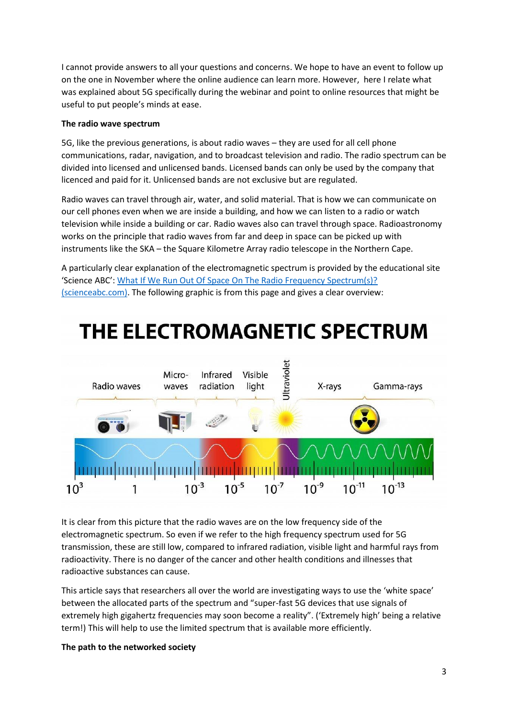I cannot provide answers to all your questions and concerns. We hope to have an event to follow up on the one in November where the online audience can learn more. However, here I relate what was explained about 5G specifically during the webinar and point to online resources that might be useful to put people's minds at ease.

#### **The radio wave spectrum**

5G, like the previous generations, is about radio waves – they are used for all cell phone communications, radar, navigation, and to broadcast television and radio. The radio spectrum can be divided into licensed and unlicensed bands. Licensed bands can only be used by the company that licenced and paid for it. Unlicensed bands are not exclusive but are regulated.

Radio waves can travel through air, water, and solid material. That is how we can communicate on our cell phones even when we are inside a building, and how we can listen to a radio or watch television while inside a building or car. Radio waves also can travel through space. Radioastronomy works on the principle that radio waves from far and deep in space can be picked up with instruments like the SKA – the Square Kilometre Array radio telescope in the Northern Cape.

A particularly clear explanation of the electromagnetic spectrum is provided by the educational site 'Science ABC': [What If We Run Out Of Space On The Radio Frequency Spectrum\(s\)?](https://www.scienceabc.com/innovation/what-happens-when-we-run-out-of-space-on-the-radio-frequency-spectrums.html)  [\(scienceabc.com\).](https://www.scienceabc.com/innovation/what-happens-when-we-run-out-of-space-on-the-radio-frequency-spectrums.html) The following graphic is from this page and gives a clear overview:



It is clear from this picture that the radio waves are on the low frequency side of the electromagnetic spectrum. So even if we refer to the high frequency spectrum used for 5G transmission, these are still low, compared to infrared radiation, visible light and harmful rays from radioactivity. There is no danger of the cancer and other health conditions and illnesses that radioactive substances can cause.

This article says that researchers all over the world are investigating ways to use the 'white space' between the allocated parts of the spectrum and "super-fast 5G devices that use signals of extremely high gigahertz frequencies may soon become a reality". ('Extremely high' being a relative term!) This will help to use the limited spectrum that is available more efficiently.

# **The path to the networked society**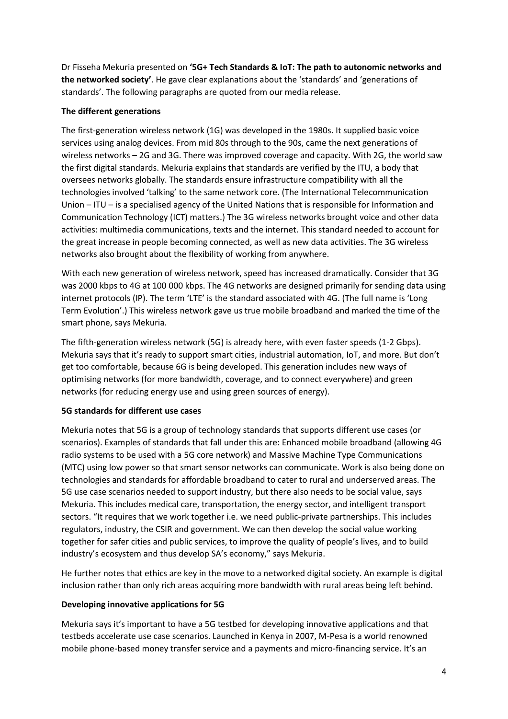Dr Fisseha Mekuria presented on **'5G+ Tech Standards & IoT: The path to autonomic networks and the networked society'**. He gave clear explanations about the 'standards' and 'generations of standards'. The following paragraphs are quoted from our media release.

# **The different generations**

The first-generation wireless network (1G) was developed in the 1980s. It supplied basic voice services using analog devices. From mid 80s through to the 90s, came the next generations of wireless networks – 2G and 3G. There was improved coverage and capacity. With 2G, the world saw the first digital standards. Mekuria explains that standards are verified by the ITU, a body that oversees networks globally. The standards ensure infrastructure compatibility with all the technologies involved 'talking' to the same network core. (The International Telecommunication Union – ITU – is a specialised agency of the United Nations that is responsible for Information and Communication Technology (ICT) matters.) The 3G wireless networks brought voice and other data activities: multimedia communications, texts and the internet. This standard needed to account for the great increase in people becoming connected, as well as new data activities. The 3G wireless networks also brought about the flexibility of working from anywhere.

With each new generation of wireless network, speed has increased dramatically. Consider that 3G was 2000 kbps to 4G at 100 000 kbps. The 4G networks are designed primarily for sending data using internet protocols (IP). The term 'LTE' is the standard associated with 4G. (The full name is 'Long Term Evolution'.) This wireless network gave us true mobile broadband and marked the time of the smart phone, says Mekuria.

The fifth-generation wireless network (5G) is already here, with even faster speeds (1-2 Gbps). Mekuria says that it's ready to support smart cities, industrial automation, IoT, and more. But don't get too comfortable, because 6G is being developed. This generation includes new ways of optimising networks (for more bandwidth, coverage, and to connect everywhere) and green networks (for reducing energy use and using green sources of energy).

# **5G standards for different use cases**

Mekuria notes that 5G is a group of technology standards that supports different use cases (or scenarios). Examples of standards that fall under this are: Enhanced mobile broadband (allowing 4G radio systems to be used with a 5G core network) and Massive Machine Type Communications (MTC) using low power so that smart sensor networks can communicate. Work is also being done on technologies and standards for affordable broadband to cater to rural and underserved areas. The 5G use case scenarios needed to support industry, but there also needs to be social value, says Mekuria. This includes medical care, transportation, the energy sector, and intelligent transport sectors. "It requires that we work together i.e. we need public-private partnerships. This includes regulators, industry, the CSIR and government. We can then develop the social value working together for safer cities and public services, to improve the quality of people's lives, and to build industry's ecosystem and thus develop SA's economy," says Mekuria.

He further notes that ethics are key in the move to a networked digital society. An example is digital inclusion rather than only rich areas acquiring more bandwidth with rural areas being left behind.

# **Developing innovative applications for 5G**

Mekuria says it's important to have a 5G testbed for developing innovative applications and that testbeds accelerate use case scenarios. Launched in Kenya in 2007, M-Pesa is a world renowned mobile phone-based money transfer service and a payments and micro-financing service. It's an